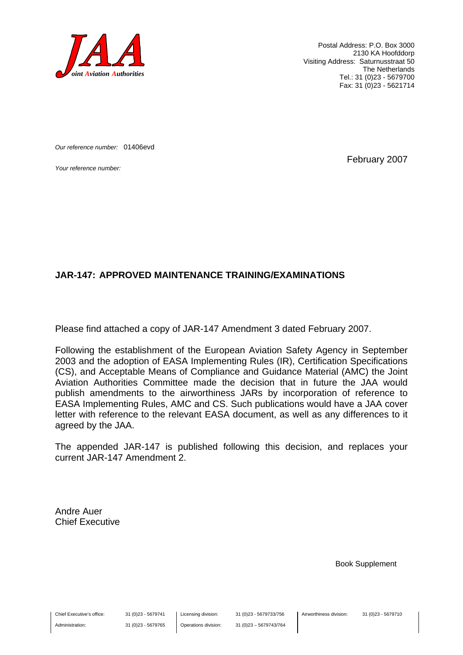

Postal Address: P.O. Box 3000 2130 KA Hoofddorp Visiting Address: Saturnusstraat 50 The Netherlands Tel.: 31 (0)23 - 5679700 Fax: 31 (0)23 - 5621714

*Our reference number:* 01406evd

*Your reference number:* February 2007

#### **JAR-147: APPROVED MAINTENANCE TRAINING/EXAMINATIONS**

Please find attached a copy of JAR-147 Amendment 3 dated February 2007.

Following the establishment of the European Aviation Safety Agency in September 2003 and the adoption of EASA Implementing Rules (IR), Certification Specifications (CS), and Acceptable Means of Compliance and Guidance Material (AMC) the Joint Aviation Authorities Committee made the decision that in future the JAA would publish amendments to the airworthiness JARs by incorporation of reference to EASA Implementing Rules, AMC and CS. Such publications would have a JAA cover letter with reference to the relevant EASA document, as well as any differences to it agreed by the JAA.

The appended JAR-147 is published following this decision, and replaces your current JAR-147 Amendment 2.

Andre Auer Chief Executive

Book Supplement

Chief Executive's office:

Administration:

31 (0)23 - 5679741 31 (0)23 - 5679765 Licensing division: Operations division: 31 (0)23 - 5679733/756 31 (0)23 – 5679743/764 Airworthiness division: 31 (0)23 - 5679710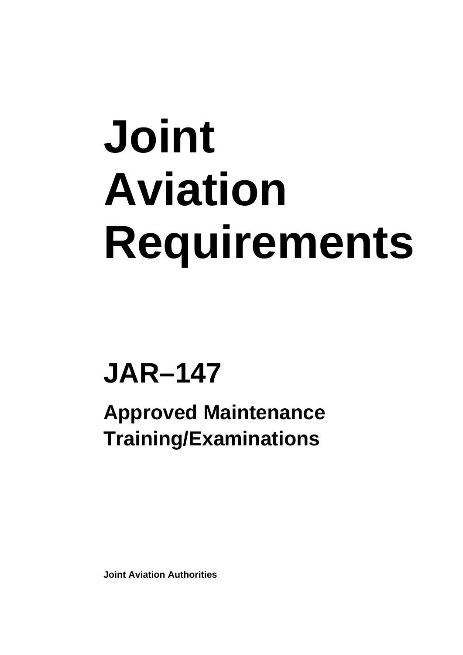# **Joint Aviation Requirements**

## **JAR–147**

**Approved Maintenance Training/Examinations** 

**Joint Aviation Authorities**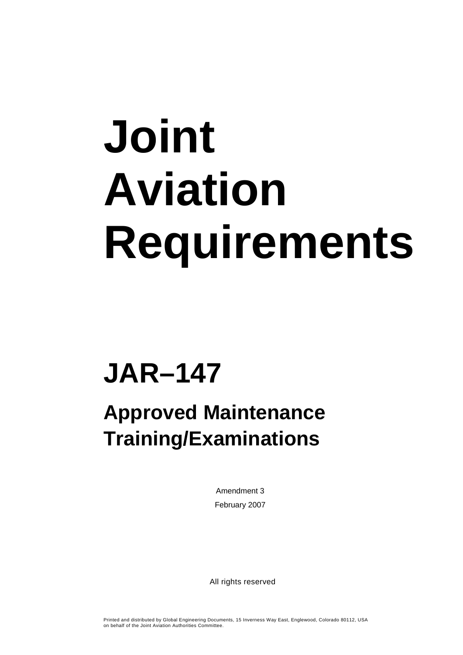# **Joint Aviation Requirements**

## **JAR–147**

### **Approved Maintenance Training/Examinations**

Amendment 3 February 2007

All rights reserved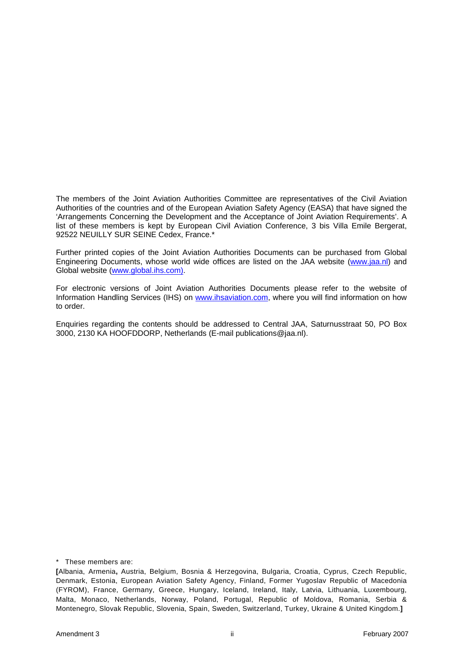The members of the Joint Aviation Authorities Committee are representatives of the Civil Aviation Authorities of the countries and of the European Aviation Safety Agency (EASA) that have signed the 'Arrangements Concerning the Development and the Acceptance of Joint Aviation Requirements'. A list of these members is kept by European Civil Aviation Conference, 3 bis Villa Emile Bergerat, 92522 NEUILLY SUR SEINE Cedex, France.\*

Further printed copies of the Joint Aviation Authorities Documents can be purchased from Global Engineering Documents, whose world wide offices are listed on the JAA website ([www.jaa.nl](http://www.jaa.nl/)) and Global website ([www.global.ihs.com\).](http://www.global.ihs.com)/)

For electronic versions of Joint Aviation Authorities Documents please refer to the website of Information Handling Services (IHS) on [www.ihsaviation.com,](http://www.ihsaviation.com/) where you will find information on how to order.

Enquiries regarding the contents should be addressed to Central JAA, Saturnusstraat 50, PO Box 3000, 2130 KA HOOFDDORP, Netherlands (E-mail publications@jaa.nl).

\* These members are:

**<sup>[</sup>**Albania, Armenia**,** Austria, Belgium, Bosnia & Herzegovina, Bulgaria, Croatia, Cyprus, Czech Republic, Denmark, Estonia, European Aviation Safety Agency, Finland, Former Yugoslav Republic of Macedonia (FYROM), France, Germany, Greece, Hungary, Iceland, Ireland, Italy, Latvia, Lithuania, Luxembourg, Malta, Monaco, Netherlands, Norway, Poland, Portugal, Republic of Moldova, Romania, Serbia & Montenegro, Slovak Republic, Slovenia, Spain, Sweden, Switzerland, Turkey, Ukraine & United Kingdom.**]**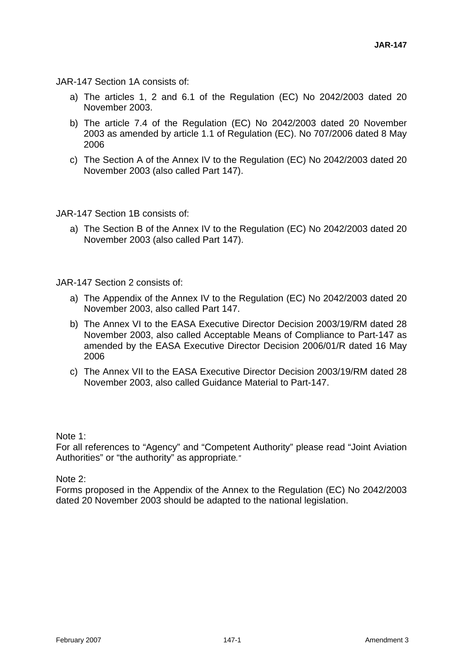JAR-147 Section 1A consists of:

- a) The articles 1, 2 and 6.1 of the Regulation (EC) No 2042/2003 dated 20 November 2003.
- b) The article 7.4 of the Regulation (EC) No 2042/2003 dated 20 November 2003 as amended by article 1.1 of Regulation (EC). No 707/2006 dated 8 May 2006
- c) The Section A of the Annex IV to the Regulation (EC) No 2042/2003 dated 20 November 2003 (also called Part 147).

JAR-147 Section 1B consists of:

a) The Section B of the Annex IV to the Regulation (EC) No 2042/2003 dated 20 November 2003 (also called Part 147).

JAR-147 Section 2 consists of:

- a) The Appendix of the Annex IV to the Regulation (EC) No 2042/2003 dated 20 November 2003, also called Part 147.
- b) The Annex VI to the EASA Executive Director Decision 2003/19/RM dated 28 November 2003, also called Acceptable Means of Compliance to Part-147 as amended by the EASA Executive Director Decision 2006/01/R dated 16 May 2006
- c) The Annex VII to the EASA Executive Director Decision 2003/19/RM dated 28 November 2003, also called Guidance Material to Part-147.

Note 1:

For all references to "Agency" and "Competent Authority" please read "Joint Aviation Authorities" or "the authority" as appropriate*."*

Note 2:

Forms proposed in the Appendix of the Annex to the Regulation (EC) No 2042/2003 dated 20 November 2003 should be adapted to the national legislation.